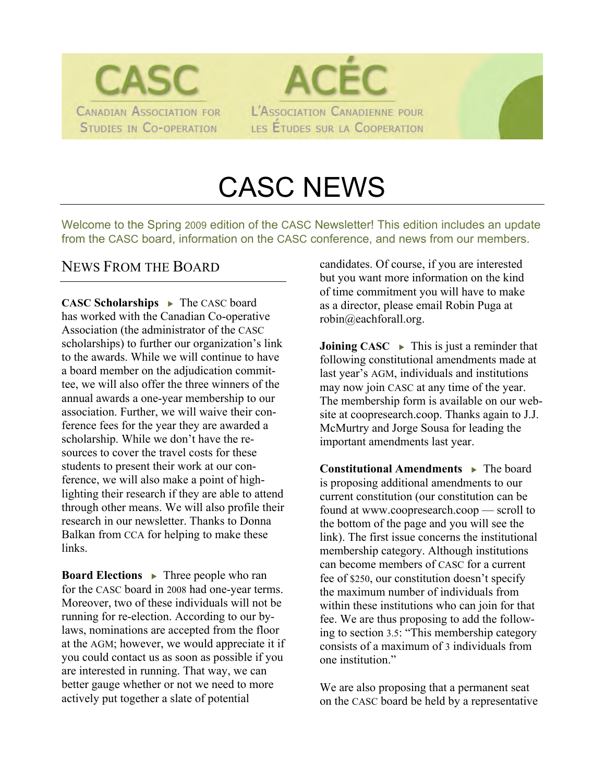



# CASC NEWS

Welcome to the Spring 2009 edition of the CASC Newsletter! This edition includes an update from the CASC board, information on the CASC conference, and news from our members.

#### NEWS FROM THE BOARD

**CASC Scholarships • The CASC board** has worked with the Canadian Co-operative Association (the administrator of the CASC scholarships) to further our organization's link to the awards. While we will continue to have a board member on the adjudication committee, we will also offer the three winners of the annual awards a one-year membership to our association. Further, we will waive their conference fees for the year they are awarded a scholarship. While we don't have the resources to cover the travel costs for these students to present their work at our conference, we will also make a point of highlighting their research if they are able to attend through other means. We will also profile their research in our newsletter. Thanks to Donna Balkan from CCA for helping to make these links.

**Board Elections • Three people who ran** for the CASC board in 2008 had one-year terms. Moreover, two of these individuals will not be running for re-election. According to our bylaws, nominations are accepted from the floor at the AGM; however, we would appreciate it if you could contact us as soon as possible if you are interested in running. That way, we can better gauge whether or not we need to more actively put together a slate of potential

candidates. Of course, if you are interested but you want more information on the kind of time commitment you will have to make as a director, please email Robin Puga at robin@eachforall.org.

**Joining CASC**  $\rightarrow$  This is just a reminder that following constitutional amendments made at last year's AGM, individuals and institutions may now join CASC at any time of the year. The membership form is available on our website at coopresearch.coop. Thanks again to J.J. McMurtry and Jorge Sousa for leading the important amendments last year.

**Constitutional Amendments • The board** is proposing additional amendments to our current constitution (our constitution can be found at www.coopresearch.coop — scroll to the bottom of the page and you will see the link). The first issue concerns the institutional membership category. Although institutions can become members of CASC for a current fee of \$250, our constitution doesn't specify the maximum number of individuals from within these institutions who can join for that fee. We are thus proposing to add the following to section 3.5: "This membership category consists of a maximum of 3 individuals from one institution."

We are also proposing that a permanent seat on the CASC board be held by a representative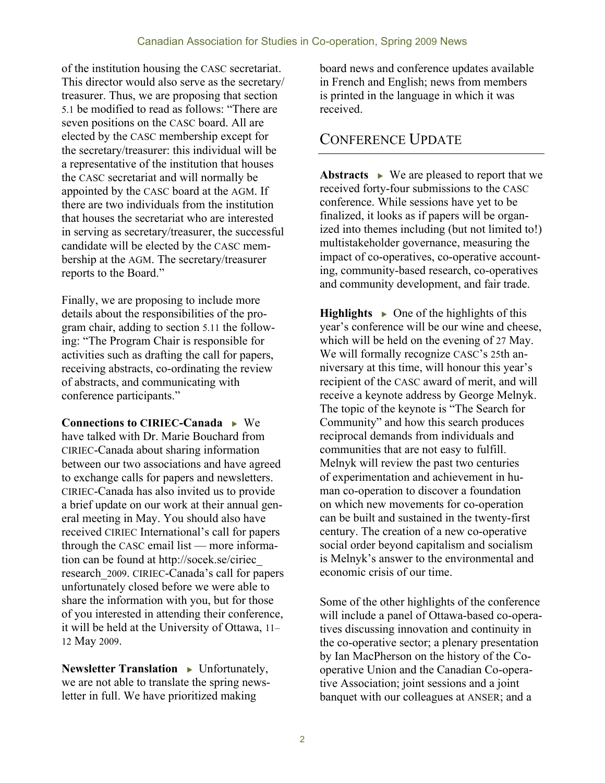of the institution housing the CASC secretariat. This director would also serve as the secretary/ treasurer. Thus, we are proposing that section 5.1 be modified to read as follows: "There are seven positions on the CASC board. All are elected by the CASC membership except for the secretary/treasurer: this individual will be a representative of the institution that houses the CASC secretariat and will normally be appointed by the CASC board at the AGM. If there are two individuals from the institution that houses the secretariat who are interested in serving as secretary/treasurer, the successful candidate will be elected by the CASC membership at the AGM. The secretary/treasurer reports to the Board."

Finally, we are proposing to include more details about the responsibilities of the program chair, adding to section 5.11 the following: "The Program Chair is responsible for activities such as drafting the call for papers, receiving abstracts, co-ordinating the review of abstracts, and communicating with conference participants."

**Connections to CIRIEC-Canada** • We have talked with Dr. Marie Bouchard from CIRIEC-Canada about sharing information between our two associations and have agreed to exchange calls for papers and newsletters. CIRIEC-Canada has also invited us to provide a brief update on our work at their annual general meeting in May. You should also have received CIRIEC International's call for papers through the CASC email list — more information can be found at http://socek.se/ciriec\_ research\_2009. CIRIEC-Canada's call for papers unfortunately closed before we were able to share the information with you, but for those of you interested in attending their conference, it will be held at the University of Ottawa, 11– 12 May 2009.

**Newsletter Translation >** Unfortunately, we are not able to translate the spring newsletter in full. We have prioritized making

board news and conference updates available in French and English; news from members is printed in the language in which it was received.

#### CONFERENCE UPDATE

Abstracts  $\rightarrow$  We are pleased to report that we received forty-four submissions to the CASC conference. While sessions have yet to be finalized, it looks as if papers will be organized into themes including (but not limited to!) multistakeholder governance, measuring the impact of co-operatives, co-operative accounting, community-based research, co-operatives and community development, and fair trade.

**Highlights**  $\rightarrow$  One of the highlights of this year's conference will be our wine and cheese, which will be held on the evening of 27 May. We will formally recognize CASC's 25th anniversary at this time, will honour this year's recipient of the CASC award of merit, and will receive a keynote address by George Melnyk. The topic of the keynote is "The Search for Community" and how this search produces reciprocal demands from individuals and communities that are not easy to fulfill. Melnyk will review the past two centuries of experimentation and achievement in human co-operation to discover a foundation on which new movements for co-operation can be built and sustained in the twenty-first century. The creation of a new co-operative social order beyond capitalism and socialism is Melnyk's answer to the environmental and economic crisis of our time.

Some of the other highlights of the conference will include a panel of Ottawa-based co-operatives discussing innovation and continuity in the co-operative sector; a plenary presentation by Ian MacPherson on the history of the Cooperative Union and the Canadian Co-operative Association; joint sessions and a joint banquet with our colleagues at ANSER; and a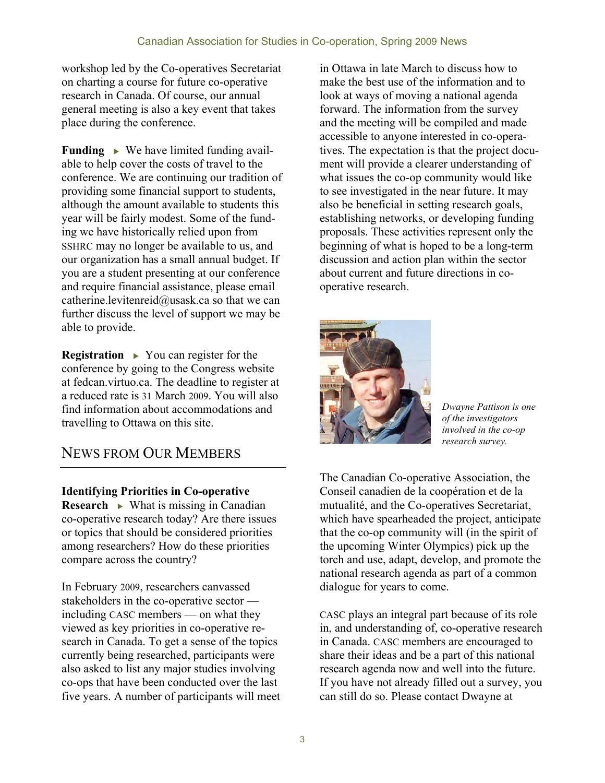workshop led by the Co-operatives Secretariat on charting a course for future co-operative research in Canada. Of course, our annual general meeting is also a key event that takes place during the conference.

**Funding •** We have limited funding available to help cover the costs of travel to the conference. We are continuing our tradition of providing some financial support to students, although the amount available to students this year will be fairly modest. Some of the funding we have historically relied upon from SSHRC may no longer be available to us, and our organization has a small annual budget. If you are a student presenting at our conference and require financial assistance, please email catherine.levitenreid@usask.ca so that we can further discuss the level of support we may be able to provide.

**Registration •** You can register for the conference by going to the Congress website at fedcan.virtuo.ca. The deadline to register at a reduced rate is 31 March 2009. You will also find information about accommodations and travelling to Ottawa on this site.

### NEWS FROM OUR MEMBERS

**Identifying Priorities in Co-operative Research • What is missing in Canadian** co-operative research today? Are there issues or topics that should be considered priorities among researchers? How do these priorities compare across the country?

In February 2009, researchers canvassed stakeholders in the co-operative sector including CASC members — on what they viewed as key priorities in co-operative research in Canada. To get a sense of the topics currently being researched, participants were also asked to list any major studies involving co-ops that have been conducted over the last five years. A number of participants will meet

in Ottawa in late March to discuss how to make the best use of the information and to look at ways of moving a national agenda forward. The information from the survey and the meeting will be compiled and made accessible to anyone interested in co-operatives. The expectation is that the project document will provide a clearer understanding of what issues the co-op community would like to see investigated in the near future. It may also be beneficial in setting research goals, establishing networks, or developing funding proposals. These activities represent only the beginning of what is hoped to be a long-term discussion and action plan within the sector about current and future directions in cooperative research.



*Dwayne Pattison is one of the investigators involved in the co-op research survey.*

The Canadian Co-operative Association, the Conseil canadien de la coopération et de la mutualité, and the Co-operatives Secretariat, which have spearheaded the project, anticipate that the co-op community will (in the spirit of the upcoming Winter Olympics) pick up the torch and use, adapt, develop, and promote the national research agenda as part of a common dialogue for years to come.

CASC plays an integral part because of its role in, and understanding of, co-operative research in Canada. CASC members are encouraged to share their ideas and be a part of this national research agenda now and well into the future. If you have not already filled out a survey, you can still do so. Please contact Dwayne at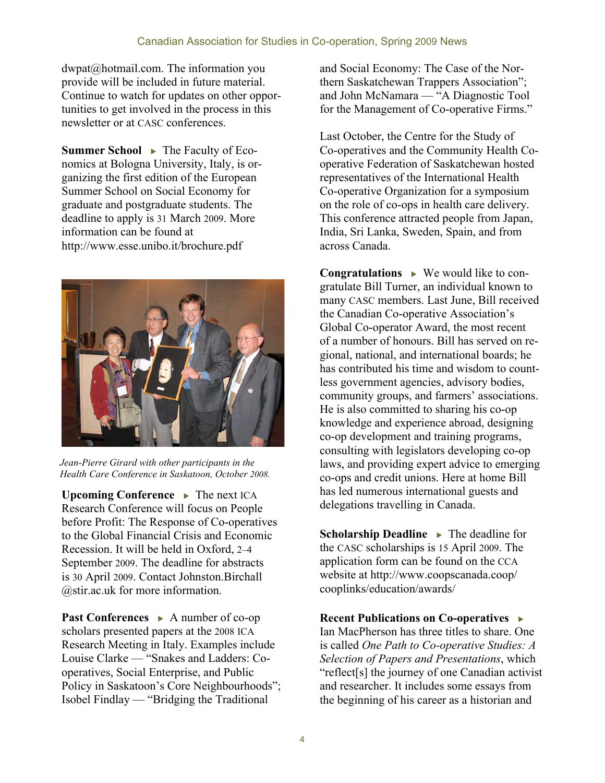dwpat@hotmail.com. The information you provide will be included in future material. Continue to watch for updates on other opportunities to get involved in the process in this newsletter or at CASC conferences.

**Summer School ▶ The Faculty of Eco**nomics at Bologna University, Italy, is organizing the first edition of the European Summer School on Social Economy for graduate and postgraduate students. The deadline to apply is 31 March 2009. More information can be found at http://www.esse.unibo.it/brochure.pdf



*Jean-Pierre Girard with other participants in the Health Care Conference in Saskatoon, October 2008.*

**Upcoming Conference • The next ICA** Research Conference will focus on People before Profit: The Response of Co-operatives to the Global Financial Crisis and Economic Recession. It will be held in Oxford, 2–4 September 2009. The deadline for abstracts is 30 April 2009. Contact Johnston.Birchall @stir.ac.uk for more information.

**Past Conferences ▶ A number of co-op** scholars presented papers at the 2008 ICA Research Meeting in Italy. Examples include Louise Clarke — "Snakes and Ladders: Cooperatives, Social Enterprise, and Public Policy in Saskatoon's Core Neighbourhoods"; Isobel Findlay — "Bridging the Traditional

and Social Economy: The Case of the Northern Saskatchewan Trappers Association"; and John McNamara — "A Diagnostic Tool for the Management of Co-operative Firms."

Last October, the Centre for the Study of Co-operatives and the Community Health Cooperative Federation of Saskatchewan hosted representatives of the International Health Co-operative Organization for a symposium on the role of co-ops in health care delivery. This conference attracted people from Japan, India, Sri Lanka, Sweden, Spain, and from across Canada.

**Congratulations**  We would like to congratulate Bill Turner, an individual known to many CASC members. Last June, Bill received the Canadian Co-operative Association's Global Co-operator Award, the most recent of a number of honours. Bill has served on regional, national, and international boards; he has contributed his time and wisdom to countless government agencies, advisory bodies, community groups, and farmers' associations. He is also committed to sharing his co-op knowledge and experience abroad, designing co-op development and training programs, consulting with legislators developing co-op laws, and providing expert advice to emerging co-ops and credit unions. Here at home Bill has led numerous international guests and delegations travelling in Canada.

**Scholarship Deadline •** The deadline for the CASC scholarships is 15 April 2009. The application form can be found on the CCA website at http://www.coopscanada.coop/ cooplinks/education/awards/

**Recent Publications on Co-operatives**  Ian MacPherson has three titles to share. One is called *One Path to Co-operative Studies: A Selection of Papers and Presentations*, which "reflect[s] the journey of one Canadian activist and researcher. It includes some essays from the beginning of his career as a historian and